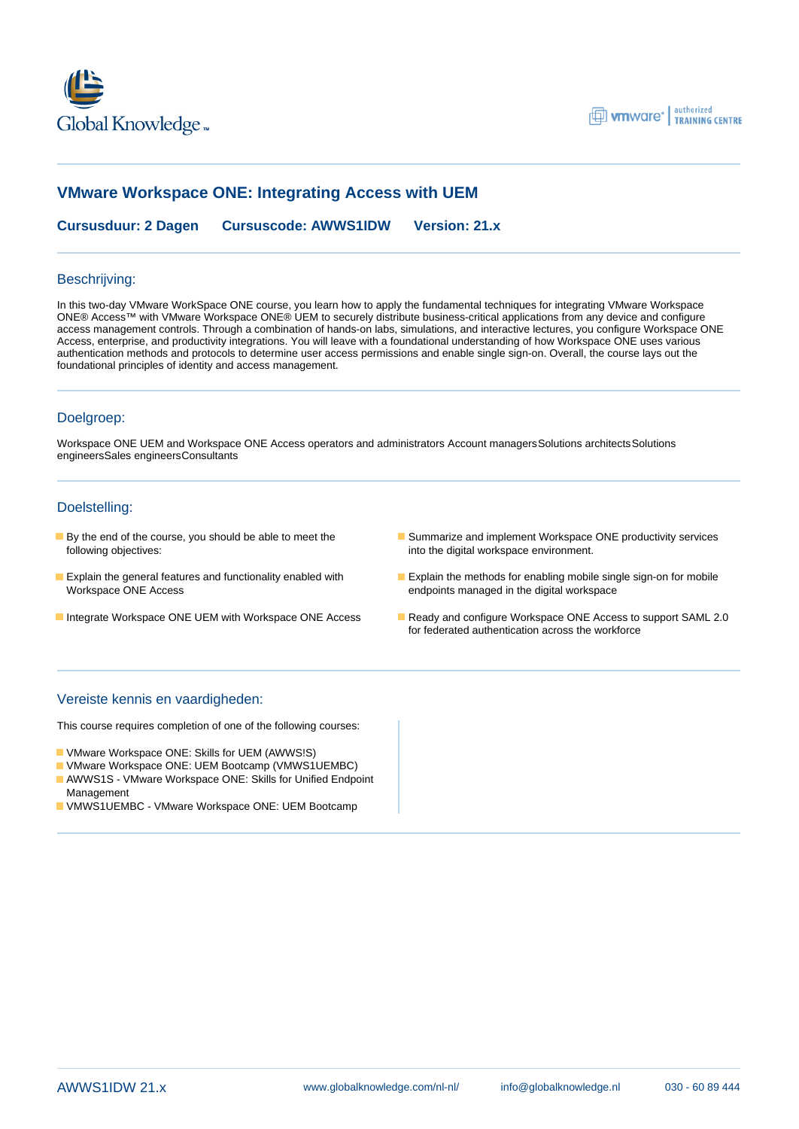



# **VMware Workspace ONE: Integrating Access with UEM**

**Cursusduur: 2 Dagen Cursuscode: AWWS1IDW Version: 21.x**

### Beschrijving:

In this two-day VMware WorkSpace ONE course, you learn how to apply the fundamental techniques for integrating VMware Workspace ONE® Access™ with VMware Workspace ONE® UEM to securely distribute business-critical applications from any device and configure access management controls. Through a combination of hands-on labs, simulations, and interactive lectures, you configure Workspace ONE Access, enterprise, and productivity integrations. You will leave with a foundational understanding of how Workspace ONE uses various authentication methods and protocols to determine user access permissions and enable single sign-on. Overall, the course lays out the foundational principles of identity and access management.

#### Doelgroep:

Workspace ONE UEM and Workspace ONE Access operators and administrators Account managersSolutions architectsSolutions engineersSales engineersConsultants

#### Doelstelling:

- following objectives: into the digital workspace environment.
- **Explain the general features and functionality enabled with Explain the methods for enabling mobile single sign-on for mobile** Workspace ONE Access endpoints managed in the digital workspace
- Integrate Workspace ONE UEM with Workspace ONE Access Ready and configure Workspace ONE Access to support SAML 2.0
- **By the end of the course, you should be able to meet the Summarize and implement Workspace ONE productivity services** 
	-
	- for federated authentication across the workforce

### Vereiste kennis en vaardigheden:

This course requires completion of one of the following courses:

- VMware Workspace ONE: Skills for UEM (AWWS!S)
- VMware Workspace ONE: UEM Bootcamp (VMWS1UEMBC)
- AWWS1S VMware Workspace ONE: Skills for Unified Endpoint Management
- VMWS1UEMBC VMware Workspace ONE: UEM Bootcamp